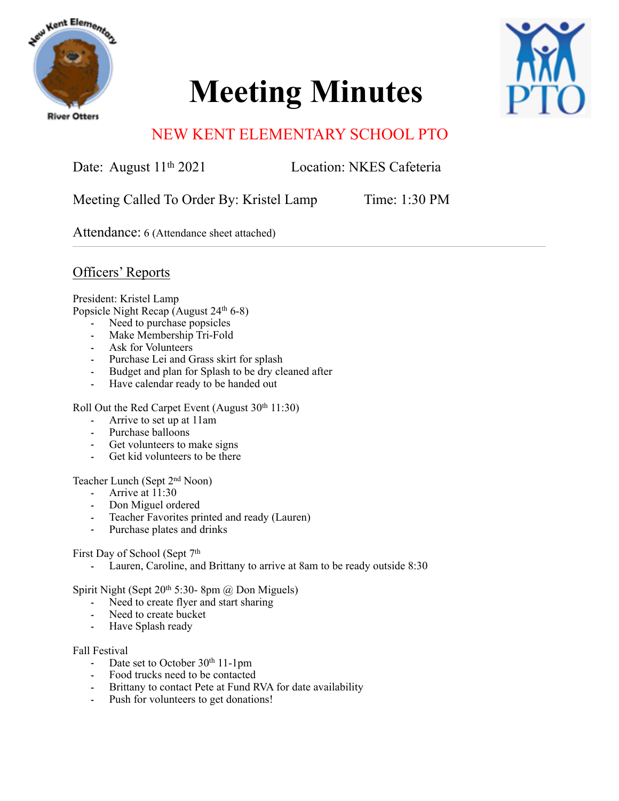

# **Meeting Minutes**



# NEW KENT ELEMENTARY SCHOOL PTO

Date: August 11<sup>th</sup> 2021 Location: NKES Cafeteria

Meeting Called To Order By: Kristel Lamp Time: 1:30 PM

Attendance: 6 (Attendance sheet attached)

Officers' Reports

President: Kristel Lamp

Popsicle Night Recap (August 24<sup>th</sup> 6-8)

- Need to purchase popsicles
- Make Membership Tri-Fold
- Ask for Volunteers
- Purchase Lei and Grass skirt for splash
- Budget and plan for Splash to be dry cleaned after
- Have calendar ready to be handed out

Roll Out the Red Carpet Event (August  $30<sup>th</sup> 11:30$ )

- Arrive to set up at 11am
- Purchase balloons
- Get volunteers to make signs
- Get kid volunteers to be there

# Teacher Lunch (Sept 2nd Noon)

- Arrive at 11:30
- Don Miguel ordered
- Teacher Favorites printed and ready (Lauren)
- Purchase plates and drinks

First Day of School (Sept 7th

- Lauren, Caroline, and Brittany to arrive at 8am to be ready outside 8:30

Spirit Night (Sept 20th 5:30- 8pm @ Don Miguels)

- Need to create flyer and start sharing
- Need to create bucket
- Have Splash ready

#### Fall Festival

- Date set to October 30<sup>th</sup> 11-1pm
- Food trucks need to be contacted
- Brittany to contact Pete at Fund RVA for date availability
- Push for volunteers to get donations!